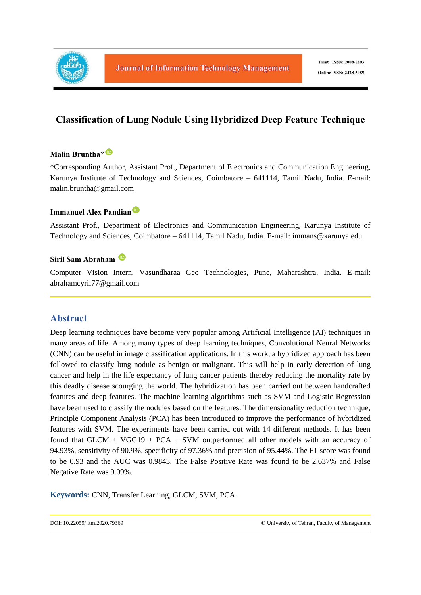

# **Classification of Lung Nodule Using Hybridized Deep Feature Technique**

# **Malin Bruntha\***

\*Corresponding Author, Assistant Prof., Department of Electronics and Communication Engineering, Karunya Institute of Technology and Sciences, Coimbatore – 641114, Tamil Nadu, India. E-mail: malin.bruntha@gmail.com

#### **Immanuel Alex Pandian**

Assistant Prof., Department of Electronics and Communication Engineering, Karunya Institute of Technology and Sciences, Coimbatore – 641114, Tamil Nadu, India. E-mail: immans@karunya.edu

# **Siril Sam Abraham**

Computer Vision Intern, Vasundharaa Geo Technologies, Pune, Maharashtra, India. E-mail: abrahamcyril77@gmail.com

# **Abstract**

Deep learning techniques have become very popular among Artificial Intelligence (AI) techniques in many areas of life. Among many types of deep learning techniques, Convolutional Neural Networks (CNN) can be useful in image classification applications. In this work, a hybridized approach has been followed to classify lung nodule as benign or malignant. This will help in early detection of lung cancer and help in the life expectancy of lung cancer patients thereby reducing the mortality rate by this deadly disease scourging the world. The hybridization has been carried out between handcrafted features and deep features. The machine learning algorithms such as SVM and Logistic Regression have been used to classify the nodules based on the features. The dimensionality reduction technique, Principle Component Analysis (PCA) has been introduced to improve the performance of hybridized features with SVM. The experiments have been carried out with 14 different methods. It has been found that  $GLCM + VGG19 + PCA + SVM$  outperformed all other models with an accuracy of 94.93%, sensitivity of 90.9%, specificity of 97.36% and precision of 95.44%. The F1 score was found to be 0.93 and the AUC was 0.9843. The False Positive Rate was found to be 2.637% and False Negative Rate was 9.09%.

**Keywords:** CNN, Transfer Learning, GLCM, SVM, PCA.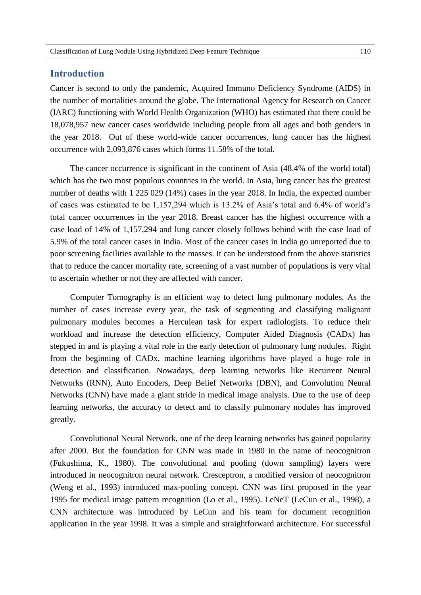# **Introduction**

Cancer is second to only the pandemic, Acquired Immuno Deficiency Syndrome (AIDS) in the number of mortalities around the globe. The International Agency for Research on Cancer (IARC) functioning with World Health Organization (WHO) has estimated that there could be 18,078,957 new cancer cases worldwide including people from all ages and both genders in the year 2018. Out of these world-wide cancer occurrences, lung cancer has the highest occurrence with 2,093,876 cases which forms 11.58% of the total.

The cancer occurrence is significant in the continent of Asia (48.4% of the world total) which has the two most populous countries in the world. In Asia, lung cancer has the greatest number of deaths with 1 225 029 (14%) cases in the year 2018. In India, the expected number of cases was estimated to be 1,157,294 which is 13.2% of Asia's total and 6.4% of world's total cancer occurrences in the year 2018. Breast cancer has the highest occurrence with a case load of 14% of 1,157,294 and lung cancer closely follows behind with the case load of 5.9% of the total cancer cases in India. Most of the cancer cases in India go unreported due to poor screening facilities available to the masses. It can be understood from the above statistics that to reduce the cancer mortality rate, screening of a vast number of populations is very vital to ascertain whether or not they are affected with cancer.

Computer Tomography is an efficient way to detect lung pulmonary nodules. As the number of cases increase every year, the task of segmenting and classifying malignant pulmonary modules becomes a Herculean task for expert radiologists. To reduce their workload and increase the detection efficiency, Computer Aided Diagnosis (CADx) has stepped in and is playing a vital role in the early detection of pulmonary lung nodules. Right from the beginning of CADx, machine learning algorithms have played a huge role in detection and classification. Nowadays, deep learning networks like Recurrent Neural Networks (RNN), Auto Encoders, Deep Belief Networks (DBN), and Convolution Neural Networks (CNN) have made a giant stride in medical image analysis. Due to the use of deep learning networks, the accuracy to detect and to classify pulmonary nodules has improved greatly.

Convolutional Neural Network, one of the deep learning networks has gained popularity after 2000. But the foundation for CNN was made in 1980 in the name of neocognitron (Fukushima, K., 1980). The convolutional and pooling (down sampling) layers were introduced in neocognitron neural network. Cresceptron, a modified version of neocognitron (Weng et al., 1993) introduced max-pooling concept. CNN was first proposed in the year 1995 for medical image pattern recognition (Lo et al., 1995). LeNeT (LeCun et al., 1998), a CNN architecture was introduced by LeCun and his team for document recognition application in the year 1998. It was a simple and straightforward architecture. For successful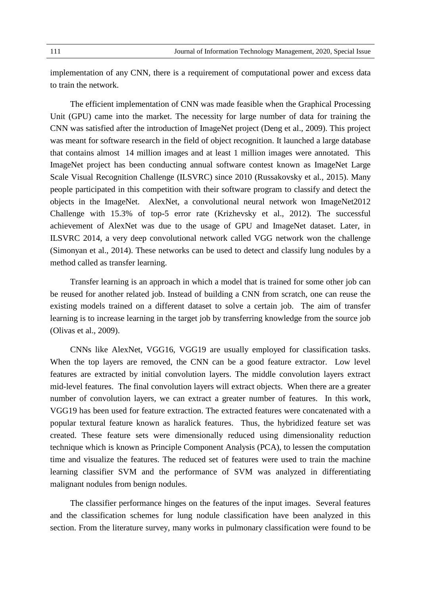implementation of any CNN, there is a requirement of computational power and excess data to train the network.

The efficient implementation of CNN was made feasible when the Graphical Processing Unit (GPU) came into the market. The necessity for large number of data for training the CNN was satisfied after the introduction of ImageNet project (Deng et al., 2009). This project was meant for software research in the field of object recognition. It launched a large database that contains almost 14 million images and at least 1 million images were annotated. This ImageNet project has been conducting annual software contest known as ImageNet Large Scale Visual Recognition Challenge (ILSVRC) since 2010 (Russakovsky et al., 2015). Many people participated in this competition with their software program to classify and detect the objects in the ImageNet. AlexNet, a convolutional neural network won ImageNet2012 Challenge with 15.3% of top-5 error rate (Krizhevsky et al., 2012). The successful achievement of AlexNet was due to the usage of GPU and ImageNet dataset. Later, in ILSVRC 2014, a very deep convolutional network called VGG network won the challenge (Simonyan et al., 2014). These networks can be used to detect and classify lung nodules by a method called as transfer learning.

Transfer learning is an approach in which a model that is trained for some other job can be reused for another related job. Instead of building a CNN from scratch, one can reuse the existing models trained on a different dataset to solve a certain job. The aim of transfer learning is to increase learning in the target job by transferring knowledge from the source job (Olivas et al., 2009).

CNNs like AlexNet, VGG16, VGG19 are usually employed for classification tasks. When the top layers are removed, the CNN can be a good feature extractor. Low level features are extracted by initial convolution layers. The middle convolution layers extract mid-level features. The final convolution layers will extract objects. When there are a greater number of convolution layers, we can extract a greater number of features. In this work, VGG19 has been used for feature extraction. The extracted features were concatenated with a popular textural feature known as haralick features. Thus, the hybridized feature set was created. These feature sets were dimensionally reduced using dimensionality reduction technique which is known as Principle Component Analysis (PCA), to lessen the computation time and visualize the features. The reduced set of features were used to train the machine learning classifier SVM and the performance of SVM was analyzed in differentiating malignant nodules from benign nodules.

The classifier performance hinges on the features of the input images. Several features and the classification schemes for lung nodule classification have been analyzed in this section. From the literature survey, many works in pulmonary classification were found to be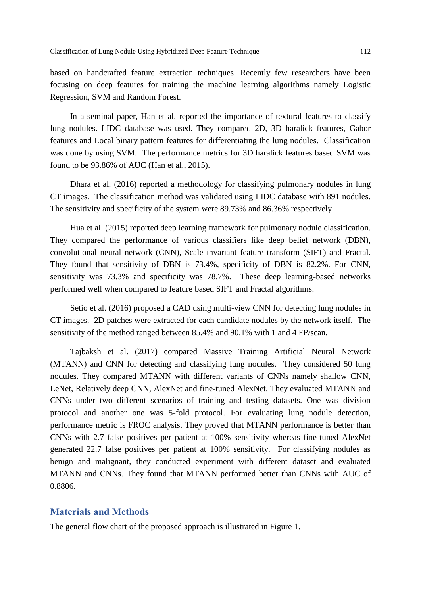based on handcrafted feature extraction techniques. Recently few researchers have been focusing on deep features for training the machine learning algorithms namely Logistic Regression, SVM and Random Forest.

In a seminal paper, Han et al. reported the importance of textural features to classify lung nodules. LIDC database was used. They compared 2D, 3D haralick features, Gabor features and Local binary pattern features for differentiating the lung nodules. Classification was done by using SVM. The performance metrics for 3D haralick features based SVM was found to be 93.86% of AUC (Han et al., 2015).

Dhara et al. (2016) reported a methodology for classifying pulmonary nodules in lung CT images. The classification method was validated using LIDC database with 891 nodules. The sensitivity and specificity of the system were 89.73% and 86.36% respectively.

Hua et al. (2015) reported deep learning framework for pulmonary nodule classification. They compared the performance of various classifiers like deep belief network (DBN), convolutional neural network (CNN), Scale invariant feature transform (SIFT) and Fractal. They found that sensitivity of DBN is 73.4%, specificity of DBN is 82.2%. For CNN, sensitivity was 73.3% and specificity was 78.7%. These deep learning-based networks performed well when compared to feature based SIFT and Fractal algorithms.

Setio et al. (2016) proposed a CAD using multi-view CNN for detecting lung nodules in CT images. 2D patches were extracted for each candidate nodules by the network itself. The sensitivity of the method ranged between 85.4% and 90.1% with 1 and 4 FP/scan.

Tajbaksh et al. (2017) compared Massive Training Artificial Neural Network (MTANN) and CNN for detecting and classifying lung nodules. They considered 50 lung nodules. They compared MTANN with different variants of CNNs namely shallow CNN, LeNet, Relatively deep CNN, AlexNet and fine-tuned AlexNet. They evaluated MTANN and CNNs under two different scenarios of training and testing datasets. One was division protocol and another one was 5-fold protocol. For evaluating lung nodule detection, performance metric is FROC analysis. They proved that MTANN performance is better than CNNs with 2.7 false positives per patient at 100% sensitivity whereas fine-tuned AlexNet generated 22.7 false positives per patient at 100% sensitivity. For classifying nodules as benign and malignant, they conducted experiment with different dataset and evaluated MTANN and CNNs. They found that MTANN performed better than CNNs with AUC of 0.8806.

#### **Materials and Methods**

The general flow chart of the proposed approach is illustrated in Figure 1.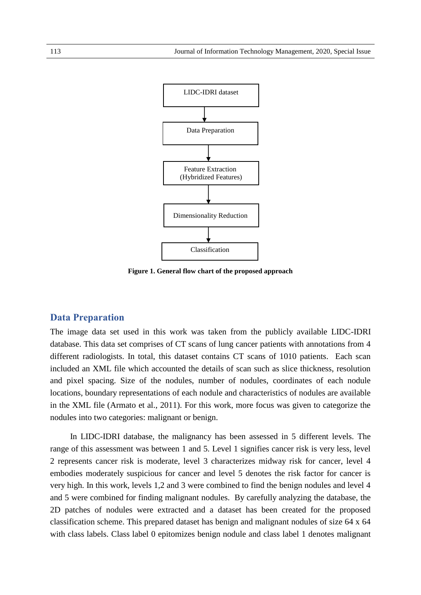

**Figure 1. General flow chart of the proposed approach**

# **Data Preparation**

The image data set used in this work was taken from the publicly available LIDC-IDRI database. This data set comprises of CT scans of lung cancer patients with annotations from 4 different radiologists. In total, this dataset contains CT scans of 1010 patients. Each scan included an XML file which accounted the details of scan such as slice thickness, resolution and pixel spacing. Size of the nodules, number of nodules, coordinates of each nodule locations, boundary representations of each nodule and characteristics of nodules are available in the XML file (Armato et al., 2011). For this work, more focus was given to categorize the nodules into two categories: malignant or benign.

In LIDC-IDRI database, the malignancy has been assessed in 5 different levels. The range of this assessment was between 1 and 5. Level 1 signifies cancer risk is very less, level 2 represents cancer risk is moderate, level 3 characterizes midway risk for cancer, level 4 embodies moderately suspicious for cancer and level 5 denotes the risk factor for cancer is very high. In this work, levels 1,2 and 3 were combined to find the benign nodules and level 4 and 5 were combined for finding malignant nodules. By carefully analyzing the database, the 2D patches of nodules were extracted and a dataset has been created for the proposed classification scheme. This prepared dataset has benign and malignant nodules of size 64 x 64 with class labels. Class label 0 epitomizes benign nodule and class label 1 denotes malignant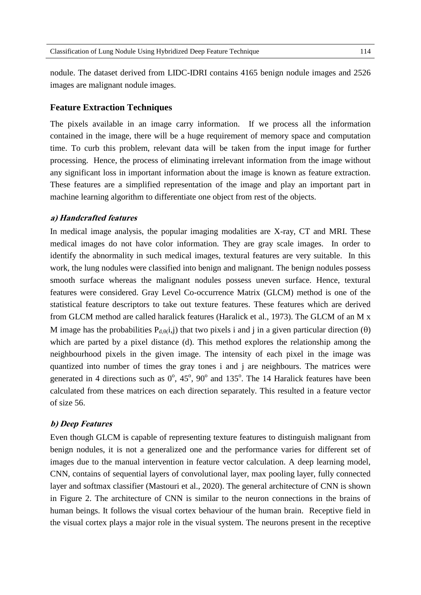nodule. The dataset derived from LIDC-IDRI contains 4165 benign nodule images and 2526 images are malignant nodule images.

# **Feature Extraction Techniques**

The pixels available in an image carry information. If we process all the information contained in the image, there will be a huge requirement of memory space and computation time. To curb this problem, relevant data will be taken from the input image for further processing. Hence, the process of eliminating irrelevant information from the image without any significant loss in important information about the image is known as feature extraction. These features are a simplified representation of the image and play an important part in machine learning algorithm to differentiate one object from rest of the objects.

#### **a) Handcrafted features**

In medical image analysis, the popular imaging modalities are X-ray, CT and MRI. These medical images do not have color information. They are gray scale images. In order to identify the abnormality in such medical images, textural features are very suitable. In this work, the lung nodules were classified into benign and malignant. The benign nodules possess smooth surface whereas the malignant nodules possess uneven surface. Hence, textural features were considered. Gray Level Co-occurrence Matrix (GLCM) method is one of the statistical feature descriptors to take out texture features. These features which are derived from GLCM method are called haralick features (Haralick et al., 1973). The GLCM of an M x M image has the probabilities  $P_{d,\theta}(i,j)$  that two pixels i and j in a given particular direction ( $\theta$ ) which are parted by a pixel distance (d). This method explores the relationship among the neighbourhood pixels in the given image. The intensity of each pixel in the image was quantized into number of times the gray tones i and j are neighbours. The matrices were generated in 4 directions such as  $0^{\circ}$ ,  $45^{\circ}$ ,  $90^{\circ}$  and  $135^{\circ}$ . The 14 Haralick features have been calculated from these matrices on each direction separately. This resulted in a feature vector of size 56.

#### **b) Deep Features**

Even though GLCM is capable of representing texture features to distinguish malignant from benign nodules, it is not a generalized one and the performance varies for different set of images due to the manual intervention in feature vector calculation. A deep learning model, CNN, contains of sequential layers of convolutional layer, max pooling layer, fully connected layer and softmax classifier (Mastouri et al., 2020). The general architecture of CNN is shown in Figure 2. The architecture of CNN is similar to the neuron connections in the brains of human beings. It follows the visual cortex behaviour of the human brain. Receptive field in the visual cortex plays a major role in the visual system. The neurons present in the receptive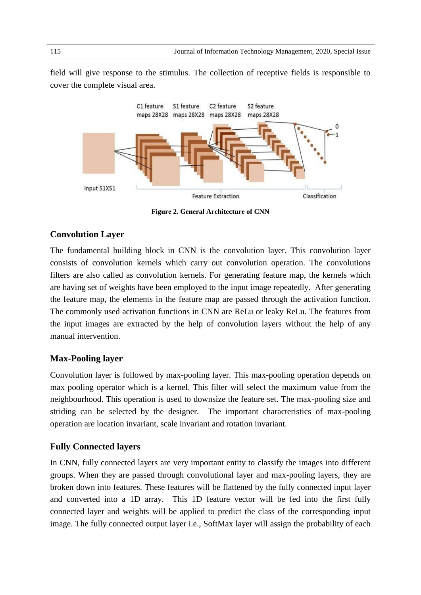field will give response to the stimulus. The collection of receptive fields is responsible to cover the complete visual area.



**Figure 2. General Architecture of CNN**

# **Convolution Layer**

The fundamental building block in CNN is the convolution layer. This convolution layer consists of convolution kernels which carry out convolution operation. The convolutions filters are also called as convolution kernels. For generating feature map, the kernels which are having set of weights have been employed to the input image repeatedly. After generating the feature map, the elements in the feature map are passed through the activation function. The commonly used activation functions in CNN are ReLu or leaky ReLu. The features from the input images are extracted by the help of convolution layers without the help of any manual intervention.

# **Max-Pooling layer**

Convolution layer is followed by max-pooling layer. This max-pooling operation depends on max pooling operator which is a kernel. This filter will select the maximum value from the neighbourhood. This operation is used to downsize the feature set. The max-pooling size and striding can be selected by the designer. The important characteristics of max-pooling operation are location invariant, scale invariant and rotation invariant.

# **Fully Connected layers**

In CNN, fully connected layers are very important entity to classify the images into different groups. When they are passed through convolutional layer and max-pooling layers, they are broken down into features. These features will be flattened by the fully connected input layer and converted into a 1D array. This 1D feature vector will be fed into the first fully connected layer and weights will be applied to predict the class of the corresponding input image. The fully connected output layer i.e., SoftMax layer will assign the probability of each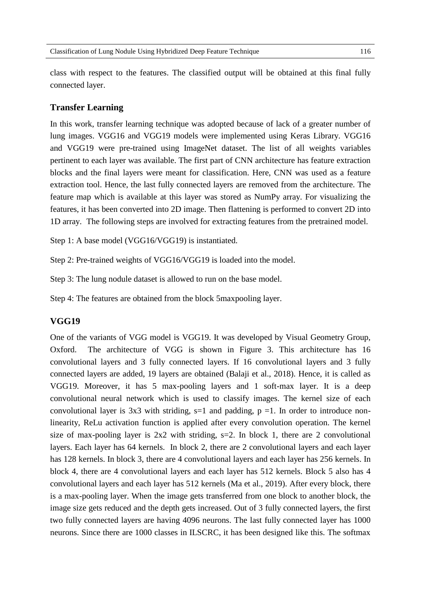class with respect to the features. The classified output will be obtained at this final fully connected layer.

#### **Transfer Learning**

In this work, transfer learning technique was adopted because of lack of a greater number of lung images. VGG16 and VGG19 models were implemented using Keras Library. VGG16 and VGG19 were pre-trained using ImageNet dataset. The list of all weights variables pertinent to each layer was available. The first part of CNN architecture has feature extraction blocks and the final layers were meant for classification. Here, CNN was used as a feature extraction tool. Hence, the last fully connected layers are removed from the architecture. The feature map which is available at this layer was stored as NumPy array. For visualizing the features, it has been converted into 2D image. Then flattening is performed to convert 2D into 1D array. The following steps are involved for extracting features from the pretrained model.

Step 1: A base model (VGG16/VGG19) is instantiated.

Step 2: Pre-trained weights of VGG16/VGG19 is loaded into the model.

Step 3: The lung nodule dataset is allowed to run on the base model.

Step 4: The features are obtained from the block 5maxpooling layer.

# **VGG19**

One of the variants of VGG model is VGG19. It was developed by Visual Geometry Group, Oxford. The architecture of VGG is shown in Figure 3. This architecture has 16 convolutional layers and 3 fully connected layers. If 16 convolutional layers and 3 fully connected layers are added, 19 layers are obtained (Balaji et al., 2018). Hence, it is called as VGG19. Moreover, it has 5 max-pooling layers and 1 soft-max layer. It is a deep convolutional neural network which is used to classify images. The kernel size of each convolutional layer is 3x3 with striding,  $s=1$  and padding,  $p =1$ . In order to introduce nonlinearity, ReLu activation function is applied after every convolution operation. The kernel size of max-pooling layer is  $2x2$  with striding,  $s=2$ . In block 1, there are 2 convolutional layers. Each layer has 64 kernels. In block 2, there are 2 convolutional layers and each layer has 128 kernels. In block 3, there are 4 convolutional layers and each layer has 256 kernels. In block 4, there are 4 convolutional layers and each layer has 512 kernels. Block 5 also has 4 convolutional layers and each layer has 512 kernels (Ma et al., 2019). After every block, there is a max-pooling layer. When the image gets transferred from one block to another block, the image size gets reduced and the depth gets increased. Out of 3 fully connected layers, the first two fully connected layers are having 4096 neurons. The last fully connected layer has 1000 neurons. Since there are 1000 classes in ILSCRC, it has been designed like this. The softmax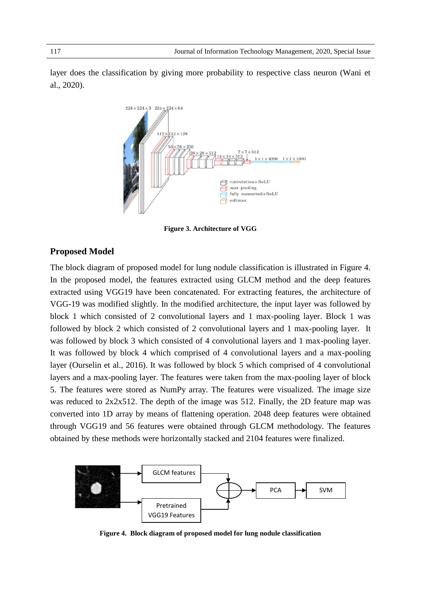layer does the classification by giving more probability to respective class neuron (Wani et al., 2020).



**Figure 3. Architecture of VGG**

# **Proposed Model**

The block diagram of proposed model for lung nodule classification is illustrated in Figure 4. In the proposed model, the features extracted using GLCM method and the deep features extracted using VGG19 have been concatenated. For extracting features, the architecture of VGG-19 was modified slightly. In the modified architecture, the input layer was followed by block 1 which consisted of 2 convolutional layers and 1 max-pooling layer. Block 1 was followed by block 2 which consisted of 2 convolutional layers and 1 max-pooling layer. It was followed by block 3 which consisted of 4 convolutional layers and 1 max-pooling layer. It was followed by block 4 which comprised of 4 convolutional layers and a max-pooling layer (Ourselin et al., 2016). It was followed by block 5 which comprised of 4 convolutional layers and a max-pooling layer. The features were taken from the max-pooling layer of block 5. The features were stored as NumPy array. The features were visualized. The image size was reduced to 2x2x512. The depth of the image was 512. Finally, the 2D feature map was converted into 1D array by means of flattening operation. 2048 deep features were obtained through VGG19 and 56 features were obtained through GLCM methodology. The features obtained by these methods were horizontally stacked and 2104 features were finalized.



**Figure 4. Block diagram of proposed model for lung nodule classification**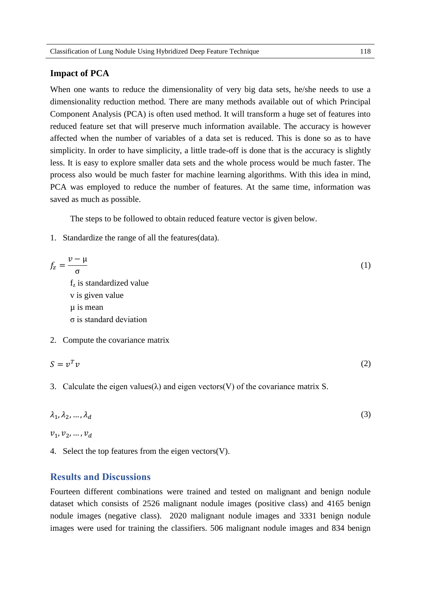#### **Impact of PCA**

When one wants to reduce the dimensionality of very big data sets, he/she needs to use a dimensionality reduction method. There are many methods available out of which Principal Component Analysis (PCA) is often used method. It will transform a huge set of features into reduced feature set that will preserve much information available. The accuracy is however affected when the number of variables of a data set is reduced. This is done so as to have simplicity. In order to have simplicity, a little trade-off is done that is the accuracy is slightly less. It is easy to explore smaller data sets and the whole process would be much faster. The process also would be much faster for machine learning algorithms. With this idea in mind, PCA was employed to reduce the number of features. At the same time, information was saved as much as possible.

The steps to be followed to obtain reduced feature vector is given below.

1. Standardize the range of all the features(data).

$$
f_z = \frac{v - \mu}{\sigma}
$$
  
\nf<sub>z</sub> is standardized value  
\nv is given value  
\n $\mu$  is mean  
\n $\sigma$  is standard deviation

2. Compute the covariance matrix

$$
S = v^T v \tag{2}
$$

3. Calculate the eigen values( $\lambda$ ) and eigen vectors(V) of the covariance matrix S.

$$
\lambda_1, \lambda_2, \dots, \lambda_d \tag{3}
$$

$$
v_1, v_2, \ldots, v_d
$$

4. Select the top features from the eigen vectors(V).

# **Results and Discussions**

Fourteen different combinations were trained and tested on malignant and benign nodule dataset which consists of 2526 malignant nodule images (positive class) and 4165 benign nodule images (negative class). 2020 malignant nodule images and 3331 benign nodule images were used for training the classifiers. 506 malignant nodule images and 834 benign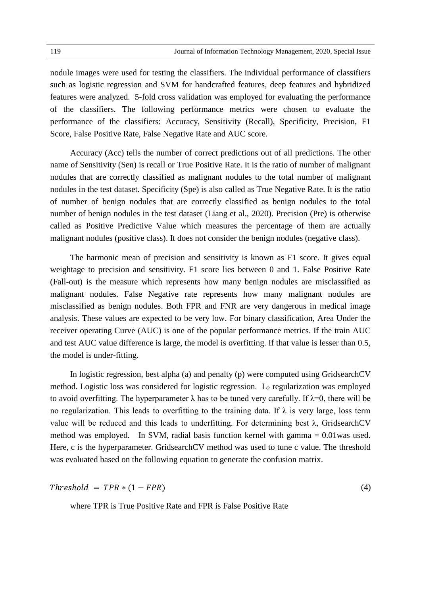nodule images were used for testing the classifiers. The individual performance of classifiers such as logistic regression and SVM for handcrafted features, deep features and hybridized features were analyzed. 5-fold cross validation was employed for evaluating the performance of the classifiers. The following performance metrics were chosen to evaluate the performance of the classifiers: Accuracy, Sensitivity (Recall), Specificity, Precision, F1 Score, False Positive Rate, False Negative Rate and AUC score.

Accuracy (Acc) tells the number of correct predictions out of all predictions. The other name of Sensitivity (Sen) is recall or True Positive Rate. It is the ratio of number of malignant nodules that are correctly classified as malignant nodules to the total number of malignant nodules in the test dataset. Specificity (Spe) is also called as True Negative Rate. It is the ratio of number of benign nodules that are correctly classified as benign nodules to the total number of benign nodules in the test dataset (Liang et al., 2020). Precision (Pre) is otherwise called as Positive Predictive Value which measures the percentage of them are actually malignant nodules (positive class). It does not consider the benign nodules (negative class).

The harmonic mean of precision and sensitivity is known as F1 score. It gives equal weightage to precision and sensitivity. F1 score lies between 0 and 1. False Positive Rate (Fall-out) is the measure which represents how many benign nodules are misclassified as malignant nodules. False Negative rate represents how many malignant nodules are misclassified as benign nodules. Both FPR and FNR are very dangerous in medical image analysis. These values are expected to be very low. For binary classification, Area Under the receiver operating Curve (AUC) is one of the popular performance metrics. If the train AUC and test AUC value difference is large, the model is overfitting. If that value is lesser than 0.5, the model is under-fitting.

In logistic regression, best alpha (a) and penalty (p) were computed using GridsearchCV method. Logistic loss was considered for logistic regression.  $L_2$  regularization was employed to avoid overfitting. The hyperparameter  $\lambda$  has to be tuned very carefully. If  $\lambda=0$ , there will be no regularization. This leads to overfitting to the training data. If  $\lambda$  is very large, loss term value will be reduced and this leads to underfitting. For determining best λ, GridsearchCV method was employed. In SVM, radial basis function kernel with gamma = 0.01was used. Here, c is the hyperparameter. GridsearchCV method was used to tune c value. The threshold was evaluated based on the following equation to generate the confusion matrix.

$$
Threshold = TPR * (1 - FPR) \tag{4}
$$

where TPR is True Positive Rate and FPR is False Positive Rate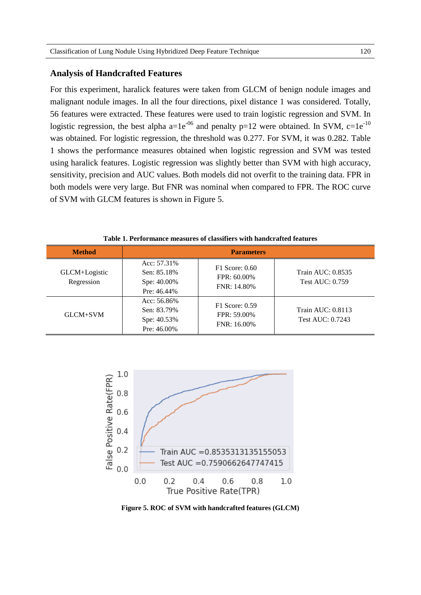### **Analysis of Handcrafted Features**

For this experiment, haralick features were taken from GLCM of benign nodule images and malignant nodule images. In all the four directions, pixel distance 1 was considered. Totally, 56 features were extracted. These features were used to train logistic regression and SVM. In logistic regression, the best alpha a=1e<sup>-06</sup> and penalty p=12 were obtained. In SVM, c=1e<sup>-10</sup> was obtained. For logistic regression, the threshold was 0.277. For SVM, it was 0.282. Table 1 shows the performance measures obtained when logistic regression and SVM was tested using haralick features. Logistic regression was slightly better than SVM with high accuracy, sensitivity, precision and AUC values. Both models did not overfit to the training data. FPR in both models were very large. But FNR was nominal when compared to FPR. The ROC curve of SVM with GLCM features is shown in Figure 5.

| <b>Method</b>               | <b>Parameters</b>                                           |                                                   |                                             |  |
|-----------------------------|-------------------------------------------------------------|---------------------------------------------------|---------------------------------------------|--|
| GLCM+Logistic<br>Regression | Acc: 57.31%<br>Sen: 85.18%<br>Spe: 40.00%<br>Pre: 46.44%    | $F1$ Score: 0.60<br>$FPR: 60.00\%$<br>FNR: 14.80% | Train AUC: 0.8535<br><b>Test AUC: 0.759</b> |  |
| GLCM+SVM                    | Acc: $56.86\%$<br>Sen: 83.79%<br>Spe: 40.53%<br>Pre: 46.00% | $F1$ Score: 0.59<br>FPR: 59.00%<br>FNR: 16.00%    | Train AUC: 0.8113<br>Test AUC: 0.7243       |  |

**Table 1. Performance measures of classifiers with handcrafted features**



**Figure 5. ROC of SVM with handcrafted features (GLCM)**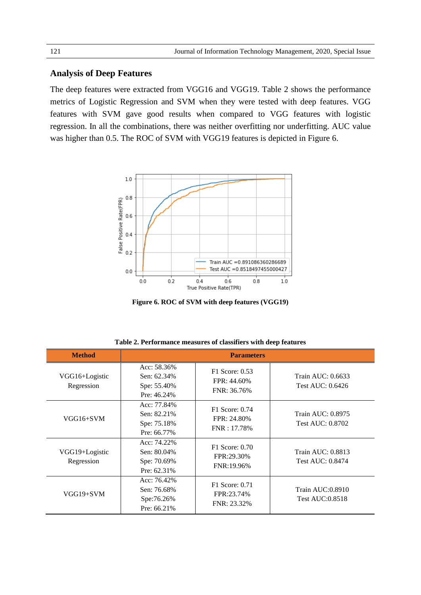# **Analysis of Deep Features**

The deep features were extracted from VGG16 and VGG19. Table 2 shows the performance metrics of Logistic Regression and SVM when they were tested with deep features. VGG features with SVM gave good results when compared to VGG features with logistic regression. In all the combinations, there was neither overfitting nor underfitting. AUC value was higher than 0.5. The ROC of SVM with VGG19 features is depicted in Figure 6.



**Figure 6. ROC of SVM with deep features (VGG19)**

| <b>Method</b>                | <b>Parameters</b>                                          |                                                |                                              |  |  |
|------------------------------|------------------------------------------------------------|------------------------------------------------|----------------------------------------------|--|--|
| VGG16+Logistic<br>Regression | Acc: 58.36%<br>Sen: 62.34%<br>Spe: 55.40%<br>Pre: 46.24%   | F1 Score: 0.53<br>FPR: 44.60%<br>FNR: 36.76%   | Train AUC: 0.6633<br>Test AUC: 0.6426        |  |  |
| $VGG16+SVM$                  | Acc: 77.84%<br>Sen: 82.21%<br>Spe: 75.18%<br>Pre: 66.77%   | $F1$ Score: 0.74<br>FPR: 24.80%<br>FNR: 17.78% | Train AUC: 0.8975<br>Test AUC: 0.8702        |  |  |
| VGG19+Logistic<br>Regression | Acc: 74.22%<br>Sen: 80.04%<br>Spe: 70.69%<br>Pre: $62.31%$ | F1 Score: 0.70<br>FPR:29.30%<br>FNR:19.96%     | Train AUC: 0.8813<br><b>Test AUC: 0.8474</b> |  |  |
| $VGG19+SVM$                  | Acc: 76.42%<br>Sen: 76.68%<br>Spe:76.26%<br>Pre: $66.21%$  | F1 Score: 0.71<br>FPR:23.74%<br>FNR: 23.32%    | Train AUC:0.8910<br>Test AUC:0.8518          |  |  |

**Table 2. Performance measures of classifiers with deep features**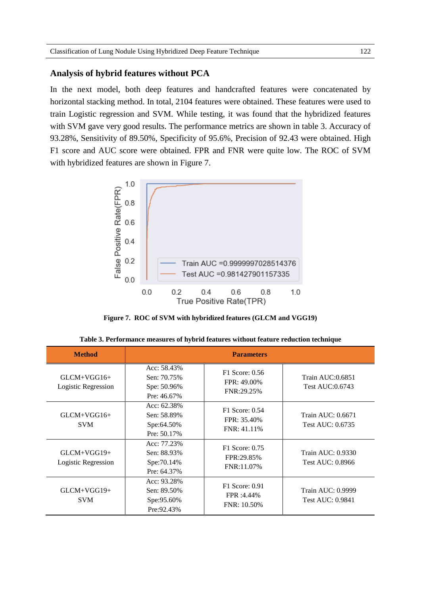### **Analysis of hybrid features without PCA**

In the next model, both deep features and handcrafted features were concatenated by horizontal stacking method. In total, 2104 features were obtained. These features were used to train Logistic regression and SVM. While testing, it was found that the hybridized features with SVM gave very good results. The performance metrics are shown in table 3. Accuracy of 93.28%, Sensitivity of 89.50%, Specificity of 95.6%, Precision of 92.43 were obtained. High F1 score and AUC score were obtained. FPR and FNR were quite low. The ROC of SVM with hybridized features are shown in Figure 7.



**Figure 7. ROC of SVM with hybridized features (GLCM and VGG19)**

| <b>Method</b>                        | <b>Parameters</b>                                         |                                                  |                                       |  |  |
|--------------------------------------|-----------------------------------------------------------|--------------------------------------------------|---------------------------------------|--|--|
| $GLCM+VGG16+$<br>Logistic Regression | Acc: 58.43%<br>Sen: 70.75%<br>Spe: 50.96%<br>Pre: 46.67%  | F1 Score: 0.56<br>FPR: 49.00%<br>FNR:29.25%      | Train AUC:0.6851<br>Test AUC:0.6743   |  |  |
| $GLCM+VGG16+$<br><b>SVM</b>          | Acc: 62.38%<br>Sen: 58.89%<br>Spe:64.50%<br>Pre: 50.17%   | $F1$ Score: $0.54$<br>FPR: 35.40%<br>FNR: 41.11% | Train AUC: 0.6671<br>Test AUC: 0.6735 |  |  |
| $GLCM+VGG19+$<br>Logistic Regression | Acc: 77.23%<br>Sen: 88.93%<br>Spe: 70.14\%<br>Pre: 64.37% | F1 Score: 0.75<br>FPR:29.85%<br>FNR:11.07%       | Train AUC: 0.9330<br>Test AUC: 0.8966 |  |  |
| $GLCM+VGG19+$<br><b>SVM</b>          | Acc: 93.28%<br>Sen: 89.50%<br>Spe:95.60%<br>Pre: 92.43%   | F1 Score: 0.91<br>FPR :4.44%<br>$FNR: 10.50\%$   | Train AUC: 0.9999<br>Test AUC: 0.9841 |  |  |

|  | Table 3. Performance measures of hybrid features without feature reduction technique |  |
|--|--------------------------------------------------------------------------------------|--|
|--|--------------------------------------------------------------------------------------|--|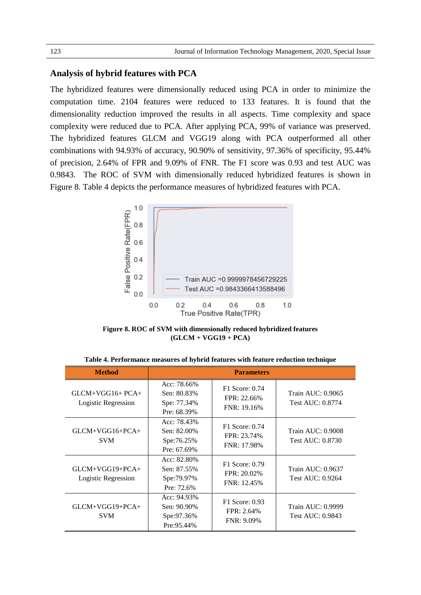# **Analysis of hybrid features with PCA**

The hybridized features were dimensionally reduced using PCA in order to minimize the computation time. 2104 features were reduced to 133 features. It is found that the dimensionality reduction improved the results in all aspects. Time complexity and space complexity were reduced due to PCA. After applying PCA, 99% of variance was preserved. The hybridized features GLCM and VGG19 along with PCA outperformed all other combinations with 94.93% of accuracy, 90.90% of sensitivity, 97.36% of specificity, 95.44% of precision, 2.64% of FPR and 9.09% of FNR. The F1 score was 0.93 and test AUC was 0.9843. The ROC of SVM with dimensionally reduced hybridized features is shown in Figure 8. Table 4 depicts the performance measures of hybridized features with PCA.



**Figure 8. ROC of SVM with dimensionally reduced hybridized features (GLCM + VGG19 + PCA)**

| <b>Method</b>                            | <b>Parameters</b>                                           |                                                 |                                       |  |  |
|------------------------------------------|-------------------------------------------------------------|-------------------------------------------------|---------------------------------------|--|--|
| $GLCM+VGG16+PCA+$<br>Logistic Regression | Acc: $78.66\%$<br>Sen: 80.83%<br>Spe: 77.34%<br>Pre: 68.39% | F1 Score: 0.74<br>FPR: 22.66%<br>FNR: 19.16%    | Train AUC: 0.9065<br>Test AUC: 0.8774 |  |  |
| $GLCM+VGG16+PCA+$<br><b>SVM</b>          | Acc: 78.43%<br>Sen: 82.00%<br>Spe:76.25%<br>Pre: $67.69\%$  | F1 Score: 0.74<br>FPR: 23.74%<br>FNR: 17.98%    | Train AUC: 0.9008<br>Test AUC: 0.8730 |  |  |
| $GLCM+VGG19+PCA+$<br>Logistic Regression | $Acc: 82.80\%$<br>Sen: 87.55%<br>Spe: 79.97%<br>Pre: 72.6%  | F1 Score: 0.79<br>$FPR: 20.02\%$<br>FNR: 12.45% | Train AUC: 0.9637<br>Test AUC: 0.9264 |  |  |
| $GLCM+VGG19+PCA+$<br><b>SVM</b>          | Acc: $94.93\%$<br>Sen: 90.90%<br>Spe:97.36%<br>Pre: 95.44%  | F1 Score: 0.93<br>FPR: 2.64%<br>$FNR: 9.09\%$   | Train AUC: 0.9999<br>Test AUC: 0.9843 |  |  |

**Table 4. Performance measures of hybrid features with feature reduction technique**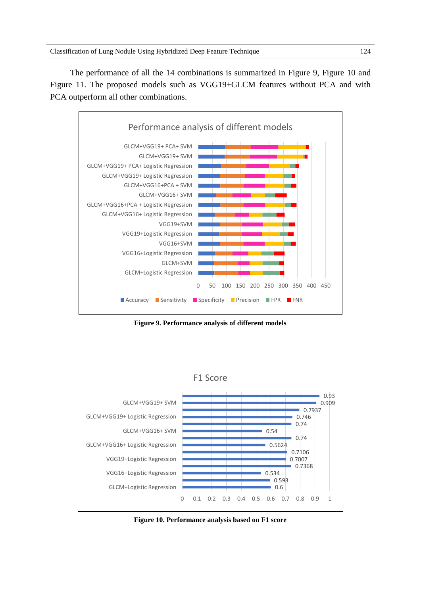The performance of all the 14 combinations is summarized in Figure 9, Figure 10 and Figure 11. The proposed models such as VGG19+GLCM features without PCA and with PCA outperform all other combinations.



**Figure 9. Performance analysis of different models**



**Figure 10. Performance analysis based on F1 score**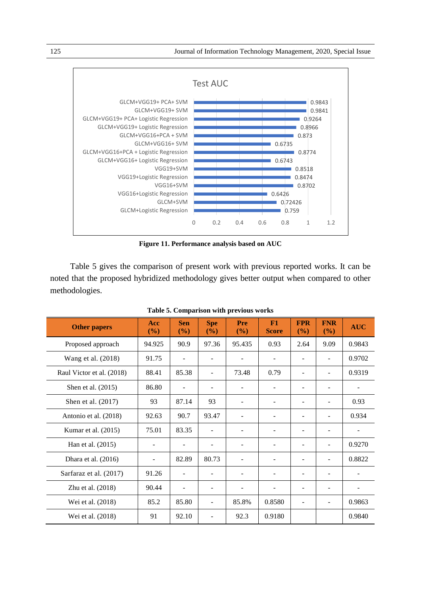

**Figure 11. Performance analysis based on AUC**

Table 5 gives the comparison of present work with previous reported works. It can be noted that the proposed hybridized methodology gives better output when compared to other methodologies.

| <b>Other papers</b>       | Acc<br>(%) | <b>Sen</b><br>(%)        | <b>Spe</b><br>(%) | Pre<br>(%)               | F1<br><b>Score</b> | <b>FPR</b><br>(9/0)      | <b>FNR</b><br>(9/0)      | <b>AUC</b> |
|---------------------------|------------|--------------------------|-------------------|--------------------------|--------------------|--------------------------|--------------------------|------------|
| Proposed approach         | 94.925     | 90.9                     | 97.36             | 95.435                   | 0.93               | 2.64                     | 9.09                     | 0.9843     |
| Wang et al. (2018)        | 91.75      | $\overline{\phantom{0}}$ |                   | $\overline{\phantom{a}}$ |                    |                          | $\overline{\phantom{a}}$ | 0.9702     |
| Raul Victor et al. (2018) | 88.41      | 85.38                    |                   | 73.48                    | 0.79               | $\overline{\phantom{0}}$ | $\overline{\phantom{a}}$ | 0.9319     |
| Shen et al. (2015)        | 86.80      |                          |                   | $\overline{a}$           |                    |                          | $\overline{\phantom{0}}$ |            |
| Shen et al. (2017)        | 93         | 87.14                    | 93                | $\overline{\phantom{a}}$ |                    |                          |                          | 0.93       |
| Antonio et al. (2018)     | 92.63      | 90.7                     | 93.47             |                          |                    |                          |                          | 0.934      |
| Kumar et al. (2015)       | 75.01      | 83.35                    |                   |                          |                    |                          |                          |            |
| Han et al. (2015)         |            | -                        |                   | $\overline{\phantom{a}}$ |                    |                          | $\qquad \qquad -$        | 0.9270     |
| Dhara et al. (2016)       |            | 82.89                    | 80.73             | $\overline{\phantom{a}}$ |                    | $\qquad \qquad -$        | $\overline{\phantom{a}}$ | 0.8822     |
| Sarfaraz et al. (2017)    | 91.26      |                          |                   | $\overline{\phantom{a}}$ |                    |                          | $\overline{\phantom{a}}$ |            |
| Zhu et al. (2018)         | 90.44      |                          |                   | $\overline{\phantom{0}}$ |                    | $\qquad \qquad -$        | $\overline{\phantom{a}}$ |            |
| Wei et al. (2018)         | 85.2       | 85.80                    |                   | 85.8%                    | 0.8580             |                          | $\blacksquare$           | 0.9863     |
| Wei et al. (2018)         | 91         | 92.10                    |                   | 92.3                     | 0.9180             |                          |                          | 0.9840     |

**Table 5. Comparison with previous works**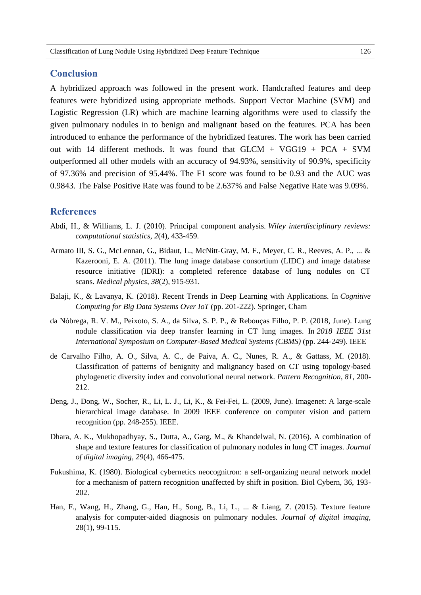# **Conclusion**

A hybridized approach was followed in the present work. Handcrafted features and deep features were hybridized using appropriate methods. Support Vector Machine (SVM) and Logistic Regression (LR) which are machine learning algorithms were used to classify the given pulmonary nodules in to benign and malignant based on the features. PCA has been introduced to enhance the performance of the hybridized features. The work has been carried out with 14 different methods. It was found that GLCM + VGG19 + PCA + SVM outperformed all other models with an accuracy of 94.93%, sensitivity of 90.9%, specificity of 97.36% and precision of 95.44%. The F1 score was found to be 0.93 and the AUC was 0.9843. The False Positive Rate was found to be 2.637% and False Negative Rate was 9.09%.

# **References**

- Abdi, H., & Williams, L. J. (2010). Principal component analysis. *Wiley interdisciplinary reviews: computational statistics*, *2*(4), 433-459.
- Armato III, S. G., McLennan, G., Bidaut, L., McNitt-Gray, M. F., Meyer, C. R., Reeves, A. P., ... & Kazerooni, E. A. (2011). The lung image database consortium (LIDC) and image database resource initiative (IDRI): a completed reference database of lung nodules on CT scans. *Medical physics*, *38*(2), 915-931.
- Balaji, K., & Lavanya, K. (2018). Recent Trends in Deep Learning with Applications. In *Cognitive Computing for Big Data Systems Over IoT* (pp. 201-222). Springer, Cham
- da Nóbrega, R. V. M., Peixoto, S. A., da Silva, S. P. P., & Rebouças Filho, P. P. (2018, June). Lung nodule classification via deep transfer learning in CT lung images. In *2018 IEEE 31st International Symposium on Computer-Based Medical Systems (CBMS)* (pp. 244-249). IEEE
- de Carvalho Filho, A. O., Silva, A. C., de Paiva, A. C., Nunes, R. A., & Gattass, M. (2018). Classification of patterns of benignity and malignancy based on CT using topology-based phylogenetic diversity index and convolutional neural network. *Pattern Recognition*, *81*, 200- 212.
- Deng, J., Dong, W., Socher, R., Li, L. J., Li, K., & Fei-Fei, L. (2009, June). Imagenet: A large-scale hierarchical image database. In 2009 IEEE conference on computer vision and pattern recognition (pp. 248-255). IEEE.
- Dhara, A. K., Mukhopadhyay, S., Dutta, A., Garg, M., & Khandelwal, N. (2016). A combination of shape and texture features for classification of pulmonary nodules in lung CT images. *Journal of digital imaging*, *29*(4), 466-475.
- Fukushima, K. (1980). Biological cybernetics neocognitron: a self‐organizing neural network model for a mechanism of pattern recognition unaffected by shift in position. Biol Cybern, 36, 193- 202.
- Han, F., Wang, H., Zhang, G., Han, H., Song, B., Li, L., ... & Liang, Z. (2015). Texture feature analysis for computer-aided diagnosis on pulmonary nodules. *Journal of digital imaging*, 28(1), 99-115.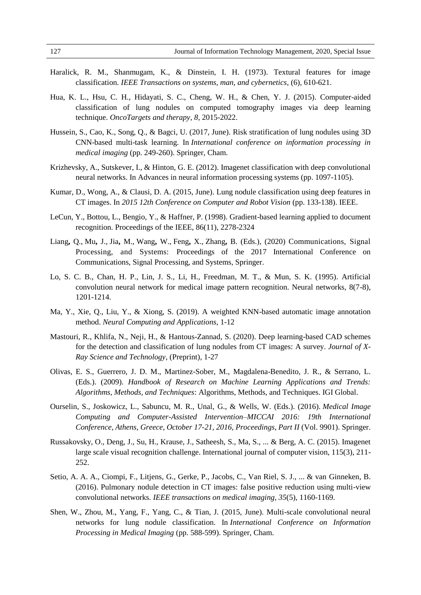- Haralick, R. M., Shanmugam, K., & Dinstein, I. H. (1973). Textural features for image classification. *IEEE Transactions on systems, man, and cybernetics*, (6), 610-621.
- Hua, K. L., Hsu, C. H., Hidayati, S. C., Cheng, W. H., & Chen, Y. J. (2015). Computer-aided classification of lung nodules on computed tomography images via deep learning technique. *OncoTargets and therapy*, *8*, 2015-2022.
- Hussein, S., Cao, K., Song, Q., & Bagci, U. (2017, June). Risk stratification of lung nodules using 3D CNN-based multi-task learning. In *International conference on information processing in medical imaging* (pp. 249-260). Springer, Cham.
- Krizhevsky, A., Sutskever, I., & Hinton, G. E. (2012). Imagenet classification with deep convolutional neural networks. In Advances in neural information processing systems (pp. 1097-1105).
- Kumar, D., Wong, A., & Clausi, D. A. (2015, June). Lung nodule classification using deep features in CT images. In *2015 12th Conference on Computer and Robot Vision* (pp. 133-138). IEEE.
- LeCun, Y., Bottou, L., Bengio, Y., & Haffner, P. (1998). Gradient-based learning applied to document recognition. Proceedings of the IEEE, 86(11), 2278-2324
- Liang**,** Q., Mu**,** J., Jia**,** M., Wang**,** W., Feng**,** X., Zhang**,** B. (Eds.), (2020) Communications, Signal Processing, and Systems: Proceedings of the 2017 International Conference on Communications, Signal Processing, and Systems, Springer.
- Lo, S. C. B., Chan, H. P., Lin, J. S., Li, H., Freedman, M. T., & Mun, S. K. (1995). Artificial convolution neural network for medical image pattern recognition. Neural networks, 8(7-8), 1201-1214.
- Ma, Y., Xie, Q., Liu, Y., & Xiong, S. (2019). A weighted KNN-based automatic image annotation method. *Neural Computing and Applications*, 1-12
- Mastouri, R., Khlifa, N., Neji, H., & Hantous-Zannad, S. (2020). Deep learning-based CAD schemes for the detection and classification of lung nodules from CT images: A survey. *Journal of X-Ray Science and Technology*, (Preprint), 1-27
- Olivas, E. S., Guerrero, J. D. M., Martinez-Sober, M., Magdalena-Benedito, J. R., & Serrano, L. (Eds.). (2009). *Handbook of Research on Machine Learning Applications and Trends: Algorithms, Methods, and Techniques*: Algorithms, Methods, and Techniques. IGI Global.
- Ourselin, S., Joskowicz, L., Sabuncu, M. R., Unal, G., & Wells, W. (Eds.). (2016). *Medical Image Computing and Computer-Assisted Intervention–MICCAI 2016: 19th International Conference, Athens, Greece, October 17-21, 2016, Proceedings, Part II* (Vol. 9901). Springer.
- Russakovsky, O., Deng, J., Su, H., Krause, J., Satheesh, S., Ma, S., ... & Berg, A. C. (2015). Imagenet large scale visual recognition challenge. International journal of computer vision, 115(3), 211- 252.
- Setio, A. A. A., Ciompi, F., Litjens, G., Gerke, P., Jacobs, C., Van Riel, S. J., ... & van Ginneken, B. (2016). Pulmonary nodule detection in CT images: false positive reduction using multi-view convolutional networks. *IEEE transactions on medical imaging*, *35*(5), 1160-1169.
- Shen, W., Zhou, M., Yang, F., Yang, C., & Tian, J. (2015, June). Multi-scale convolutional neural networks for lung nodule classification. In *International Conference on Information Processing in Medical Imaging* (pp. 588-599). Springer, Cham.